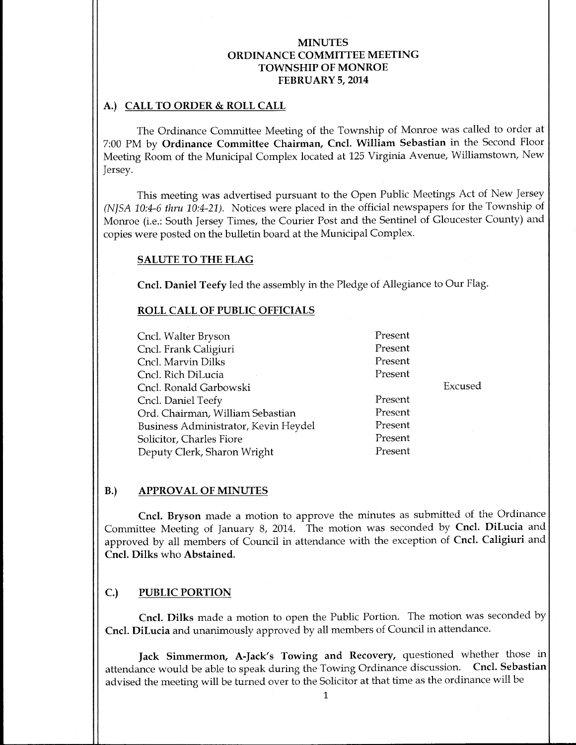# A.) CALL TO ORDER& ROLL CALL

The Ordinance Committee Meeting of the Township of Monroe was called to order at 7:00 PM by Ordinance Committee Chairman, Cncl. William Sebastian in the Second Floor Meeting Room of the Municipal Complex located at 125 Virginia Avenue, Williamstown, New Jersey.

This meeting was advertised pursuant to the Open Public Meetings Act of New Jersey (NJSA 10:4-6 thru 10:4-21). Notices were placed in the official newspapers for the Township of Monroe (i.e.: South Jersey Times, the Courier Post and the Sentinel of Gloucester County) and copies were posted on the bulletin board at the Municipal Complex.

### SALUTE TO THE FLAG

Cncl. Daniel Teefy led the assembly in the Pledge of Allegiance to Our Flag.

### ROLL CALL OF PUBLIC OFFICIALS

Cncl. Walter Bryson Present Cncl. Frank Caligiuri Present Cncl. Marvin Dilks Present Cncl. Rich DiLucia Present Cncl. Ronald Garbowski Excused Cncl. Daniel Teefy<br>
Ord. Chairman. William Sebastian<br>
Present Ord. Chairman, William Sebastian Business Administrator, Kevin Heydel Present Solicitor, Charles Fiore **Present** Deputy Clerk, Sharon Wright Present

## B.) APPROVAL OF MINUTES

Cncl. Bryson made a motion to approve the minutes as submitted of the Ordinance Committee Meeting of January 8, 2014. The motion was seconded by Cncl. DiLucia and approved by all members of Council in attendance with the exception of Cncl. Caligiuri and Cncl. Dilks who Abstained.

## C.) PUBLIC PORTION

Cncl. Dilks made <sup>a</sup> motion to open the Public Portion. The motion was seconded by Cncl. DiLucia and unanimously approved by all members of Council in attendance.

Jack Simmermon, A-Jack's Towing and Recovery, questioned whether those in attendance would be able to speak during the Towing Ordinance discussion. Cncl. Sebastian advised the meeting will be turned over to the Solicitor at that time as the ordinance will be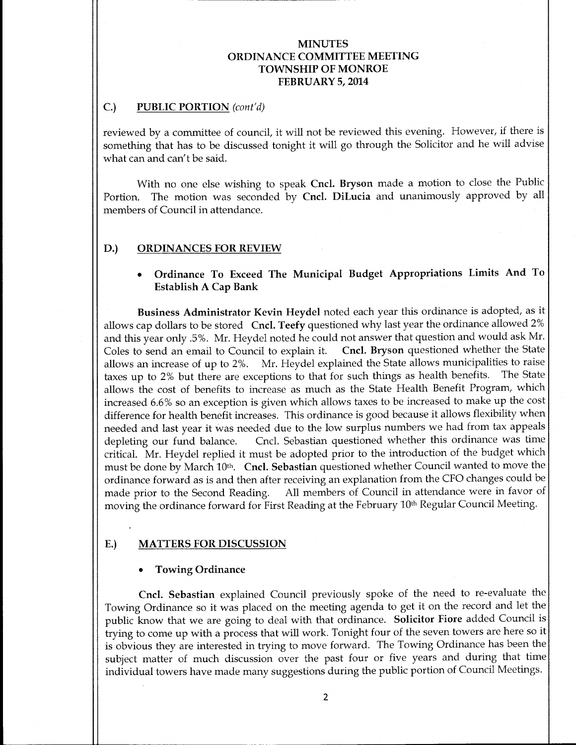## C.) PUBLIC PORTION (cont'd)

reviewed by <sup>a</sup> committee of council, it will not be reviewed this evening. However, if there is something that has to be discussed tonight it will go through the Solicitor and he will advise what can and can't be said.

With no one else wishing to speak Cncl. Bryson made <sup>a</sup> motion to close the Public Portion. The motion was seconded by Cncl. DiLucia and unanimously approved by all members of Council in attendance.

## D.) ORDINANCES FOR REVIEW

# Ordinance To Exceed The Municipal Budget Appropriations Limits And To Establish A Cap Bank

Business Administrator Kevin Heydel noted each year this ordinance is adopted, as it allows cap dollars to be stored Cncl. Teefy questioned why last year the ordinance allowed 2% and this year only .5%. Mr. Heydel noted he could not answer that question and would ask Mr.<br>Coles to send an email to Council to explain it. Cncl. Bryson questioned whether the State Cncl. Bryson questioned whether the State allows an increase of up to 2%. Mr. Heydel explained the State allows municipalities to raise taxes up to 2% but there are exceptions to that for such things as health benefits. The State allows the cost of benefits to increase as much as the State Health Benefit Program, which increased 6.6% so an exception is given which allows taxes to be increased to make up the cost difference for health benefit increases. This ordinance is good because it allows flexibility when needed and last year it was needed due to the low surplus numbers we had from tax appeals depleting our fund balance. Cncl. Sebastian questioned whether this ordinance was time critical. Mr. Heydel replied it must be adopted prior to the introduction of the budget which must be done by March 10<sup>th</sup>. Cncl. Sebastian questioned whether Council wanted to move the ordinance forward as is and then after receiving an explanation from the CFO changes could be All members of Council in attendance were in favor of moving the ordinance forward for First Reading at the February 10<sup>th</sup> Regular Council Meeting.

### E.) MATTERS FOR DISCUSSION

### Towing Ordinance

Cncl. Sebastian explained Council previously spoke of the need to re-evaluate the Towing Ordinance so it was placed on the meeting agenda to get it on the record and let the public know that we are going to deal with that ordinance. Solicitor Fiore added Council is trying to come up with <sup>a</sup> process that will work. Tonight four of the seven towers are here so it is obvious they are interested in trying to move forward. The Towing Ordinance has been the subject matter of much discussion over the past four or five years and during that time individual towers have made many suggestions during the public portion of Council Meetings.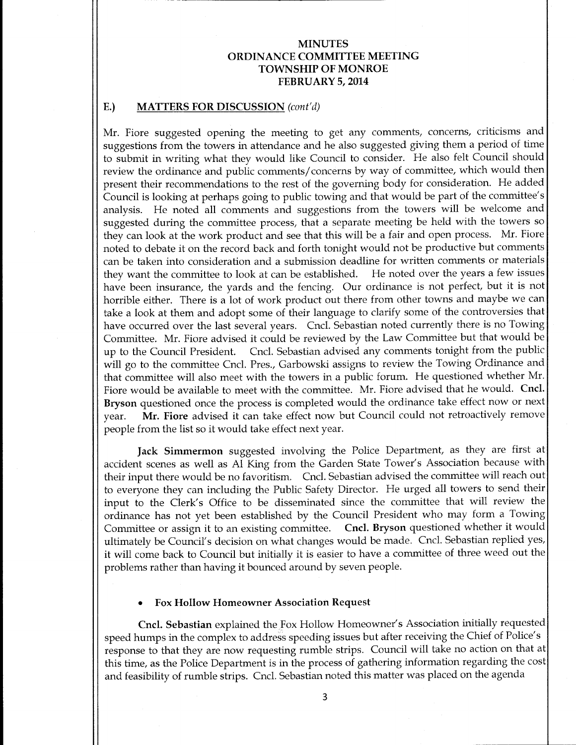## E.) MATTERS FOR DISCUSSION (cont'd)

Mr. Fiore suggested opening the meeting to get any comments, concerns, criticisms and suggestions from the towers in attendance and he also suggested giving them <sup>a</sup> period of time to submit in writing what they would like Council to consider. He also felt Council should review the ordinance and public comments/ concerns by way of committee, which would then present their recommendations to the rest of the governing body for consideration. He added Council is looking at perhaps going to public towing and that would be part of the committee' <sup>s</sup> analysis. He noted all comments and suggestions from the towers will be welcome and suggested during the committee process, that <sup>a</sup> separate meeting be held with the towers so they can look at the work product and see that this will be <sup>a</sup> fair and open process. Mr. Fiore noted to debate it on the record back and forth tonight would not be productive but comments can be taken into consideration and <sup>a</sup> submission deadline for written comments or materials they want the committee to look at can be established. He noted over the years <sup>a</sup> few issues have been insurance, the yards and the fencing. Our ordinance is not perfect, but it is not horrible either. There is a lot of work product out there from other towns and maybe we can take <sup>a</sup> look at them and adopt some of their language to clarify some of the controversies that have occurred over the last several years. Cncl. Sebastian noted currently there is no Towing Committee. Mr. Fiore advised it could be reviewed by the Law Committee but that would be Cncl. Sebastian advised any comments tonight from the public will go to the committee Cncl. Pres., Garbowski assigns to review the Towing Ordinance and that committee will also meet with the towers in <sup>a</sup> public forum. He questioned whether Mr. Fiore would be available to meet with the committee. Mr. Fiore advised that he would. Cncl. Bryson questioned once the process is completed would the ordinance take effect now or next year. Mr. Fiore advised it can take effect now but Council could not retroactively remove people from the list so it would take effect next year.

Jack Simmermon suggested involving the Police Department, as they are first at accident scenes as well as Al King from the Garden State Tower's Association because with their input there would be no favoritism. Cncl. Sebastian advised the committee will reach out to everyone they can including the Public Safety Director. He urged all towers to send their input to the Clerk's Office to be disseminated since the committee that will review the ordinance has not yet been established by the Council President who may form <sup>a</sup> Towing Committee or assign it to an existing committee. Cncl. Bryson questioned whether it would ultimately be Council's decision on what changes would be made. Cncl. Sebastian replied yes, it will come back to Council but initially it is easier to have <sup>a</sup> committee of three weed out the problems rather than having it bounced around by seven people.

#### Fox Hollow Homeowner Association Request

Cncl. Sebastian explained the Fox Hollow Homeowner's Association initially requested speed humps in the complex to address speeding issues but after receiving the Chief of Police' <sup>s</sup> response to that they are now requesting rumble strips. Council will take no action on that at this time, as the Police Department is in the process of gathering information regarding the cost and feasibility of rumble strips. Cncl. Sebastian noted this matter was placed on the agenda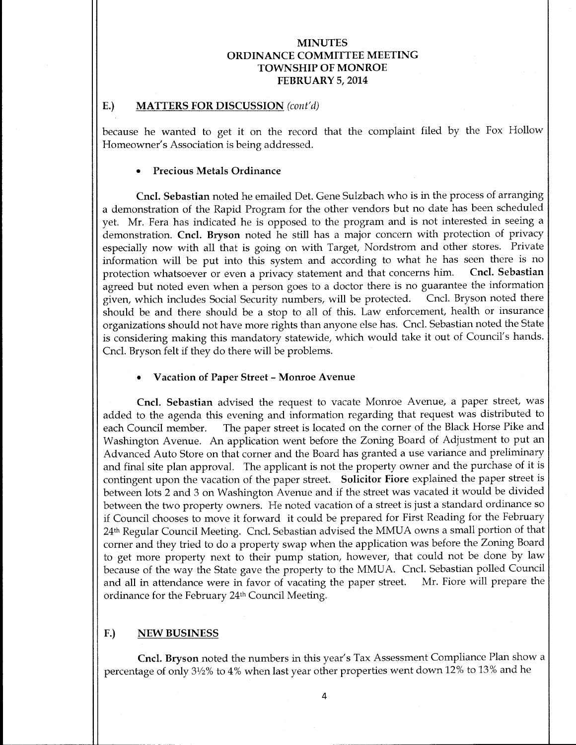### E.) MATTERS FOR DISCUSSION (cont'd)

because he wanted to get it on the record that the complaint filed by the Fox Hollow Homeowner's Association is being addressed.

### Precious Metals Ordinance

Cncl. Sebastian noted he emailed Det. Gene Sulzbach who is in the process of arranging a demonstration of the Rapid Program for the other vendors but no date has been scheduled yet. Mr. Fera has indicated he is opposed to the program and is not interested in seeing a demonstration. Cncl. Bryson noted he still has <sup>a</sup> major concern with protection of privacy especially now with all that is going on with Target, Nordstrom and other stores. Private information will be put into this system and according to what he has seen there is no<br>protection whatsoever or even a privacy statement and that concerns him. Cncl. Sebastian protection whatsoever or even a privacy statement and that concerns him. agreed but noted even when <sup>a</sup> person goes to a doctor there is no guarantee the information given, which includes Social Security numbers, will be protected. Cncl. Bryson noted there should be and there should be a stop to all of this. Law enforcement, health or insurance organizations should not have more rights than anyone else has. Cncl. Sebastian noted the State is considering making this mandatory statewide, which would take it out of Council's hands. Cncl. Bryson felt if they do there will be problems.

### Vacation of Paper Street- Monroe Avenue

Cncl. Sebastian advised the request to vacate Monroe Avenue, a paper street, was added to the agenda this evening and information regarding that request was distributed to each Council member. The paper street is located on the corner of the Black Horse Pike and The paper street is located on the corner of the Black Horse Pike and Washington Avenue. An application went before the Zoning Board of Adjustment to put an Advanced Auto Store on that corner and the Board has granted a use variance and preliminary and final site plan approval. The applicant is not the property owner and the purchase of it is contingent upon the vacation of the paper street. Solicitor Fiore explained the paper street is between lots <sup>2</sup> and <sup>3</sup> on Washington Avenue and if the street was vacated it would be divided between the two property owners. He noted vacation of <sup>a</sup> street is just a standard ordinance so if Council chooses to move it forward it could be prepared for First Reading for the February 24th Regular Council Meeting. Cncl. Sebastian advised the MMUA owns <sup>a</sup> small portion of that corner and they tried to do a property swap when the application was before the Zoning Board to get more property next to their pump station, however, that could not be done by law because of the way the State gave the property to the MMUA. Cncl. Sebastian polled Council and all in attendance were in favor of vacating the paper street. ordinance for the February 24th Council Meeting.

## F.) NEW BUSINESS

Cncl. Bryson noted the numbers in this year's Tax Assessment Compliance Plan show a percentage of only 31/2% to 4% when last year other properties went down 12% to 13% and he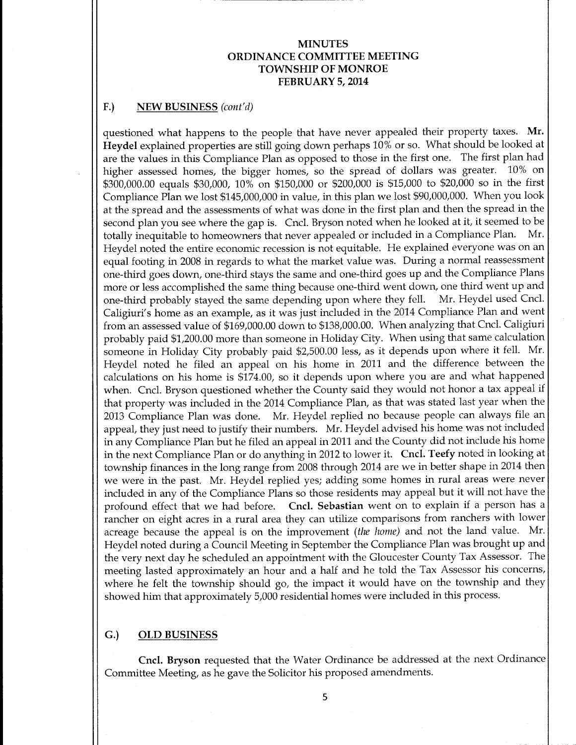# F.) NEW BUSINESS (cont'd)

questioned what happens to the people that have never appealed their property taxes. Mr. Heydel explained properties are still going down perhaps 10% or so. What should be looked at are the values in this Compliance Plan as opposed to those in the first one. The first plan had higher assessed homes, the bigger homes, so the spread of dollars was greater. 10% on \$300,000.00 equals \$30,000, 10% on \$150,000 or \$200,000 is \$15,000 to \$20,000 so in the first Compliance Plan we lost \$145,000,000 in value, in this plan we lost \$90,000,000. When you look at the spread and the assessments of what was done in the first plan and then the spread in the second plan you see where the gap is. Cncl. Bryson noted when he looked at it, it seemed to be totally inequitable to homeowners that never appealed or included in a Compliance Plan. Mr. totally inequitable to homeowners that never appealed or included in a Compliance Plan. Heydel noted the entire economic recession is not equitable. He explained everyone was on an equal footing in <sup>2008</sup> in regards to what the market value was. During <sup>a</sup> normal reassessment one-third goes down, one-third stays the same and one-third goes up and the Compliance Plans more or less accomplished the same thing because one-third went down, one third went up and one-third probably staved the same depending upon where they fell. Mr. Heydel used Cncl. one-third probably stayed the same depending upon where they fell. Caligiuri's home as an example, as it was just included in the 2014 Compliance Plan and went from an assessed value of \$169,000.00 down to \$138,000.00. When analyzing that Cncl. Caligiuri probably paid \$1,200.00 more than someone in Holiday City. When using that same calculation someone in Holiday City probably paid \$2,500.<sup>00</sup> less, as it depends upon where it fell. Mr. Heydel noted he filed an appeal on his home in 2011 and the difference between the calculations on his home is \$174.00, so it depends upon where you are and what happened when. Cncl. Bryson questioned whether the County said they would not honor <sup>a</sup> tax appeal if that property was included in the 2014 Compliance Plan, as that was stated last year when the 2013 Compliance Plan was done. Mr. Heydel replied no because people can always file an appeal, they just need to justify their numbers. Mr. Heydel advised his home was not included in any Compliance Plan but he filed an appeal in 2011 and the County did not include his home in the next Compliance Plan or do anything in <sup>2012</sup> to lower it. Cncl. Teefy noted in looking at township finances in the long range from 2008 through 2014 are we in better shape in 2014 then we were in the past. Mr. Heydel replied yes; adding some homes in rural areas were never included in any of the Compliance Plans so those residents may appeal but it will not have the profound effect that we had before. Cncl. Sebastian went on to explain if a person has a rancher on eight acres in a rural area they can utilize comparisons from ranchers with lower acreage because the appeal is on the improvement (the home) and not the land value. Mr. Heydel noted during a Council Meeting in September the Compliance Plan was brought up and the very next day he scheduled an appointment with the Gloucester County Tax Assessor. The meeting lasted approximately an hour and a half and he told the Tax Assessor his concerns, where he felt the township should go, the impact it would have on the township and they showed him that approximately 5, 000 residential homes were included in this process.

## G.) OLD BUSINESS

Cncl. Bryson requested that the Water Ordinance be addressed at the next Ordinance Committee Meeting, as he gave the Solicitor his proposed amendments.